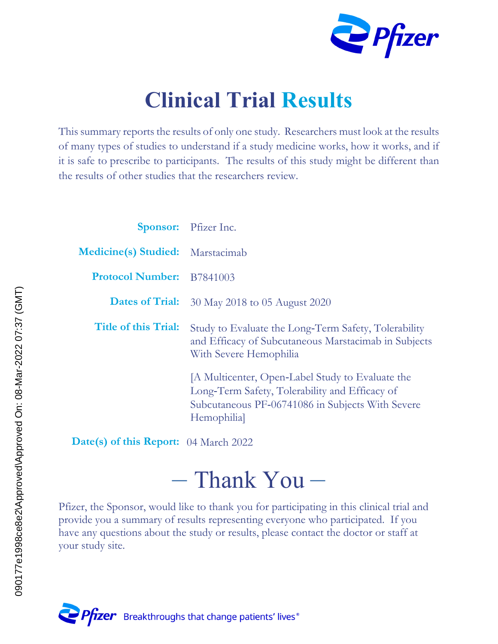

## **Clinical Trial Results**

This summary reports the results of only one study. Researchers must look at the results of many types of studies to understand if a study medicine works, how it works, and if it is safe to prescribe to participants. The results of this study might be different than the results of other studies that the researchers review.

|                                         | <b>Sponsor:</b> Pfizer Inc.                                                                                                                                          |
|-----------------------------------------|----------------------------------------------------------------------------------------------------------------------------------------------------------------------|
| <b>Medicine(s) Studied:</b> Marstacimab |                                                                                                                                                                      |
| <b>Protocol Number:</b> B7841003        |                                                                                                                                                                      |
| <b>Dates of Trial:</b>                  | 30 May 2018 to 05 August 2020                                                                                                                                        |
| <b>Title of this Trial:</b>             | Study to Evaluate the Long-Term Safety, Tolerability<br>and Efficacy of Subcutaneous Marstacimab in Subjects<br>With Severe Hemophilia                               |
|                                         | [A Multicenter, Open-Label Study to Evaluate the<br>Long-Term Safety, Tolerability and Efficacy of<br>Subcutaneous PF-06741086 in Subjects With Severe<br>Hemophilia |

**Date(s) of this Report:** 04 March 2022

# – Thank You –

Pfizer, the Sponsor, would like to thank you for participating in this clinical trial and provide you a summary of results representing everyone who participated. If you have any questions about the study or results, please contact the doctor or staff at your study site.

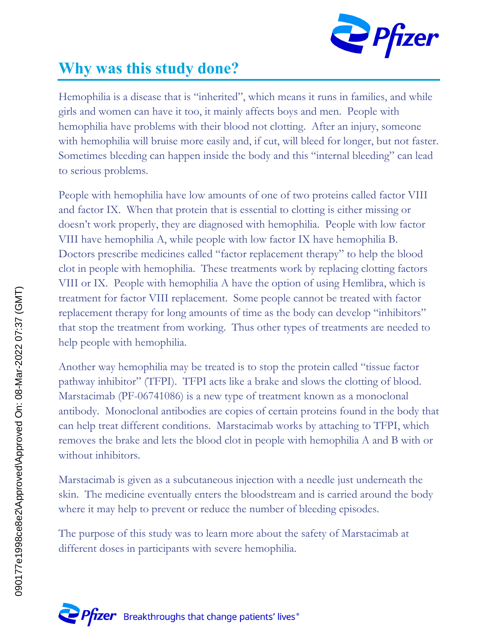

## **Why was this study done?**

Hemophilia is a disease that is "inherited", which means it runs in families, and while girls and women can have it too, it mainly affects boys and men. People with hemophilia have problems with their blood not clotting. After an injury, someone with hemophilia will bruise more easily and, if cut, will bleed for longer, but not faster. Sometimes bleeding can happen inside the body and this "internal bleeding" can lead to serious problems.

People with hemophilia have low amounts of one of two proteins called factor VIII and factor IX. When that protein that is essential to clotting is either missing or doesn't work properly, they are diagnosed with hemophilia. People with low factor VIII have hemophilia A, while people with low factor IX have hemophilia B. Doctors prescribe medicines called "factor replacement therapy" to help the blood clot in people with hemophilia. These treatments work by replacing clotting factors VIII or IX. People with hemophilia A have the option of using Hemlibra, which is treatment for factor VIII replacement. Some people cannot be treated with factor replacement therapy for long amounts of time as the body can develop "inhibitors" that stop the treatment from working. Thus other types of treatments are needed to help people with hemophilia.

Another way hemophilia may be treated is to stop the protein called "tissue factor pathway inhibitor" (TFPI). TFPI acts like a brake and slows the clotting of blood. Marstacimab (PF-06741086) is a new type of treatment known as a monoclonal antibody. Monoclonal antibodies are copies of certain proteins found in the body that can help treat different conditions. Marstacimab works by attaching to TFPI, which removes the brake and lets the blood clot in people with hemophilia A and B with or without inhibitors.

Marstacimab is given as a subcutaneous injection with a needle just underneath the skin. The medicine eventually enters the bloodstream and is carried around the body where it may help to prevent or reduce the number of bleeding episodes.

The purpose of this study was to learn more about the safety of Marstacimab at different doses in participants with severe hemophilia.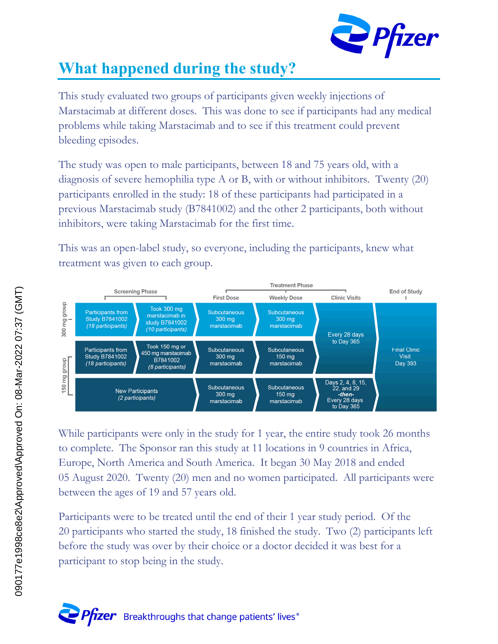

## **What happened during the study?**

This study evaluated two groups of participants given weekly injections of Marstacimab at different doses. This was done to see if participants had any medical problems while taking Marstacimab and to see if this treatment could prevent bleeding episodes.

The study was open to male participants, between 18 and 75 years old, with a diagnosis of severe hemophilia type A or B, with or without inhibitors. Twenty (20) participants enrolled in the study: 18 of these participants had participated in a previous Marstacimab study (B7841002) and the other 2 participants, both without inhibitors, were taking Marstacimab for the first time.

This was an open-label study, so everyone, including the participants, knew what treatment was given to each group.



While participants were only in the study for 1 year, the entire study took 26 months to complete. The Sponsor ran this study at 11 locations in 9 countries in Africa, Europe, North America and South America. It began 30 May 2018 and ended 05 August 2020. Twenty (20) men and no women participated. All participants were between the ages of 19 and 57 years old.

Participants were to be treated until the end of their 1 year study period. Of the 20 participants who started the study, 18 finished the study. Two (2) participants left before the study was over by their choice or a doctor decided it was best for a participant to stop being in the study.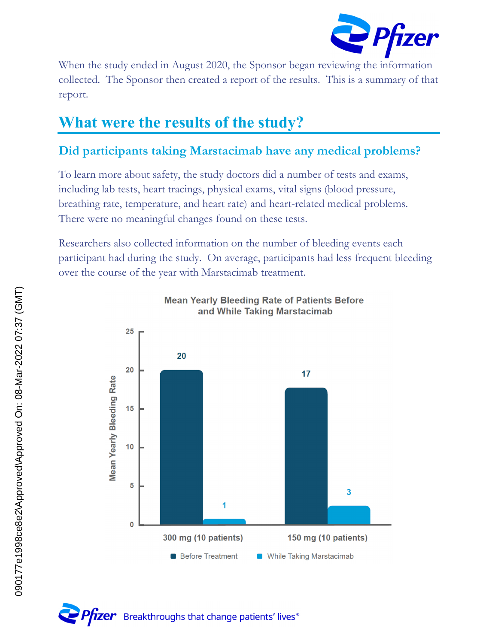

When the study ended in August 2020, the Sponsor began reviewing the information collected. The Sponsor then created a report of the results. This is a summary of that report.

## **What were the results of the study?**

### **Did participants taking Marstacimab have any medical problems?**

To learn more about safety, the study doctors did a number of tests and exams, including lab tests, heart tracings, physical exams, vital signs (blood pressure, breathing rate, temperature, and heart rate) and heart-related medical problems. There were no meaningful changes found on these tests.

Researchers also collected information on the number of bleeding events each participant had during the study. On average, participants had less frequent bleeding over the course of the year with Marstacimab treatment.



#### **Mean Yearly Bleeding Rate of Patients Before** and While Taking Marstacimab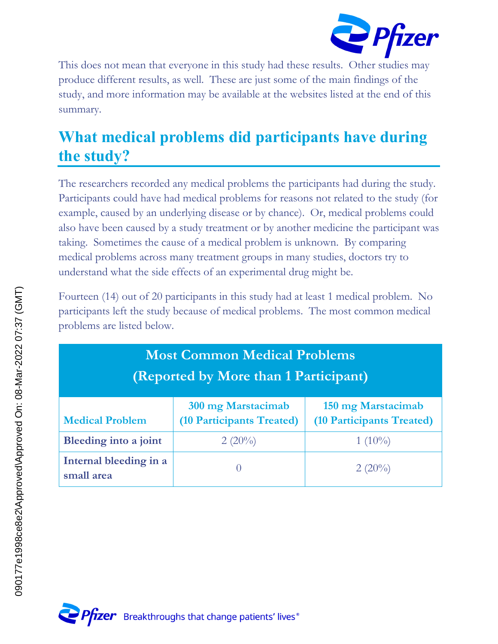

This does not mean that everyone in this study had these results. Other studies may produce different results, as well. These are just some of the main findings of the study, and more information may be available at the websites listed at the end of this summary.

## **What medical problems did participants have during the study?**

The researchers recorded any medical problems the participants had during the study. Participants could have had medical problems for reasons not related to the study (for example, caused by an underlying disease or by chance). Or, medical problems could also have been caused by a study treatment or by another medicine the participant was taking. Sometimes the cause of a medical problem is unknown. By comparing medical problems across many treatment groups in many studies, doctors try to understand what the side effects of an experimental drug might be.

Fourteen (14) out of 20 participants in this study had at least 1 medical problem. No participants left the study because of medical problems. The most common medical problems are listed below.

| <b>Most Common Medical Problems</b><br>(Reported by More than 1 Participant) |                                                 |                                                 |  |
|------------------------------------------------------------------------------|-------------------------------------------------|-------------------------------------------------|--|
| <b>Medical Problem</b>                                                       | 300 mg Marstacimab<br>(10 Participants Treated) | 150 mg Marstacimab<br>(10 Participants Treated) |  |
| Bleeding into a joint                                                        | $2(20\%)$                                       | $1(10\%)$                                       |  |
| Internal bleeding in a<br>small area                                         |                                                 | $2(20\%)$                                       |  |